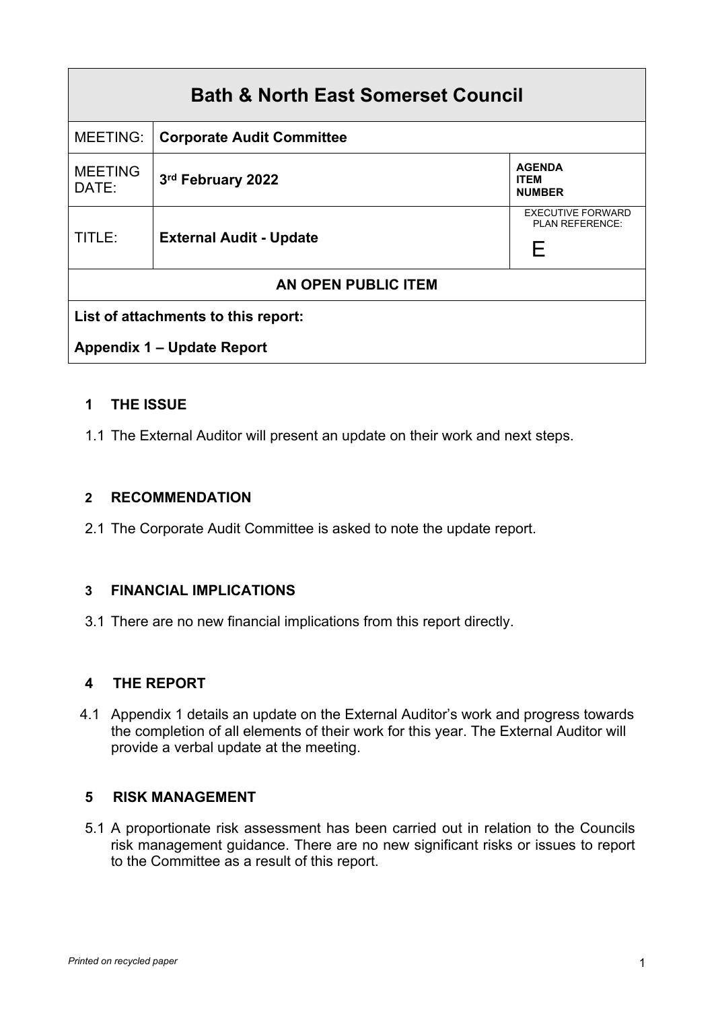| <b>Bath &amp; North East Somerset Council</b> |                                  |                                                  |  |
|-----------------------------------------------|----------------------------------|--------------------------------------------------|--|
| MEETING:                                      | <b>Corporate Audit Committee</b> |                                                  |  |
| <b>MEETING</b><br>DATE:                       | 3rd February 2022                | <b>AGENDA</b><br><b>ITEM</b><br><b>NUMBER</b>    |  |
| TITLE:                                        | <b>External Audit - Update</b>   | <b>EXECUTIVE FORWARD</b><br>PLAN REFERENCE:<br>F |  |
| AN OPEN PUBLIC ITEM                           |                                  |                                                  |  |
| List of attachments to this report:           |                                  |                                                  |  |
| <b>Appendix 1 - Update Report</b>             |                                  |                                                  |  |

## **1 THE ISSUE**

1.1 The External Auditor will present an update on their work and next steps.

#### **2 RECOMMENDATION**

2.1 The Corporate Audit Committee is asked to note the update report.

#### **3 FINANCIAL IMPLICATIONS**

3.1 There are no new financial implications from this report directly.

#### **4 THE REPORT**

 4.1 Appendix 1 details an update on the External Auditor's work and progress towards the completion of all elements of their work for this year. The External Auditor will provide a verbal update at the meeting.

#### **5 RISK MANAGEMENT**

5.1 A proportionate risk assessment has been carried out in relation to the Councils risk management guidance. There are no new significant risks or issues to report to the Committee as a result of this report.